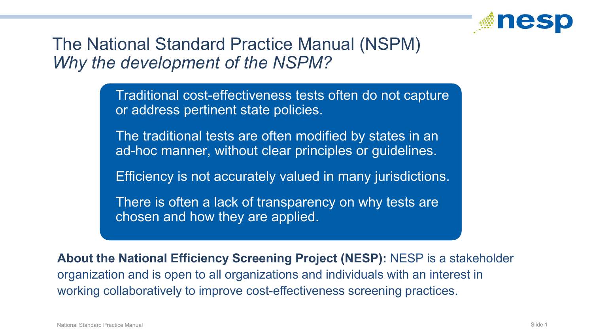

#### The National Standard Practice Manual (NSPM) *Why the development of the NSPM?*

 Traditional cost-effectiveness tests often do not capture or address pertinent state policies.

 The traditional tests are often modified by states in an ad-hoc manner, without clear principles or guidelines.

Efficiency is not accurately valued in many jurisdictions.

 There is often a lack of transparency on why tests are chosen and how they are applied.

**About the National Efficiency Screening Project (NESP):** NESP is a stakeholder organization and is open to all organizations and individuals with an interest in working collaboratively to improve cost-effectiveness screening practices.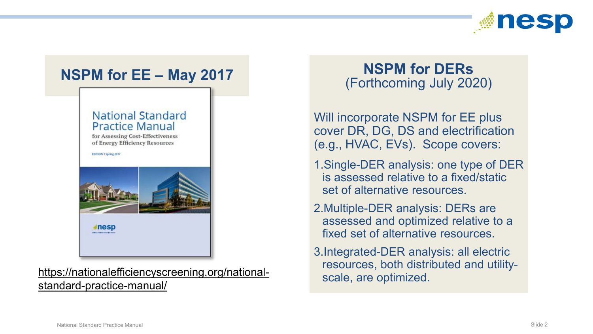



#### https://nationalefficiencyscreening.org/national-<br>scale, are optimized. standard-practice-manual/

# (Forthcoming July 2020)

Will incorporate NSPM for EE plus cover DR, DG, DS and electrification (e.g., HVAC, EVs). Scope covers:

- 1.Single-DER analysis: one type of DER is assessed relative to a fixed/static set of alternative resources.
- 2.Multiple-DER analysis: DERs are assessed and optimized relative to a fixed set of alternative resources.
- 3.Integrated-DER analysis: all electric resources, both distributed and utility-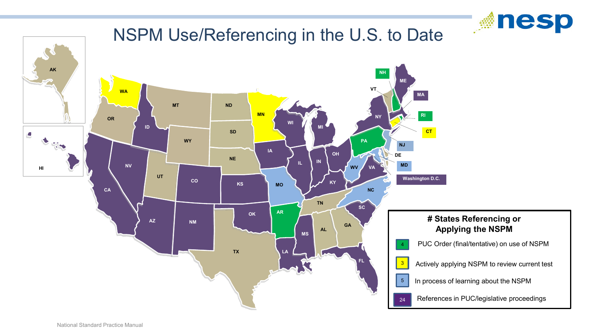

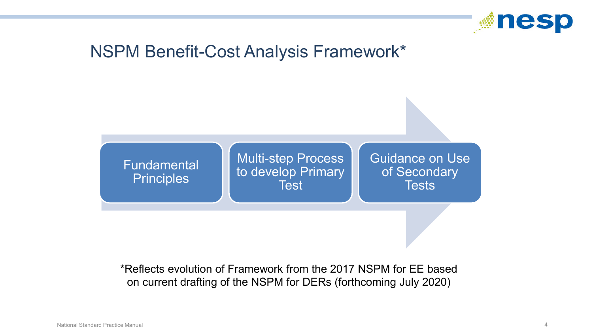

### NSPM Benefit-Cost Analysis Framework\*



\*Reflects evolution of Framework from the 2017 NSPM for EE based on current drafting of the NSPM for DERs (forthcoming July 2020)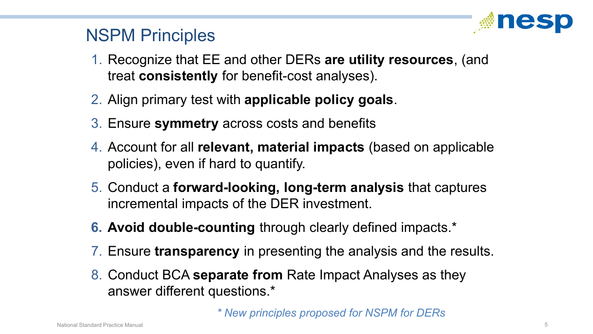

#### NSPM Principles

- 1. Recognize that EE and other DERs **are utility resources**, (and treat **consistently** for benefit-cost analyses).
- 2. Align primary test with **applicable policy goals**.
- 3. Ensure **symmetry** across costs and benefits
- 4. Account for all **relevant, material impacts** (based on applicable policies), even if hard to quantify.
- 5. Conduct a **forward-looking, long-term analysis** that captures incremental impacts of the DER investment.
- **6. Avoid double-counting** through clearly defined impacts.\*
- 7. Ensure **transparency** in presenting the analysis and the results.
- 8. Conduct BCA **separate from** Rate Impact Analyses as they answer different questions.\*

*\* New principles proposed for NSPM for DERs*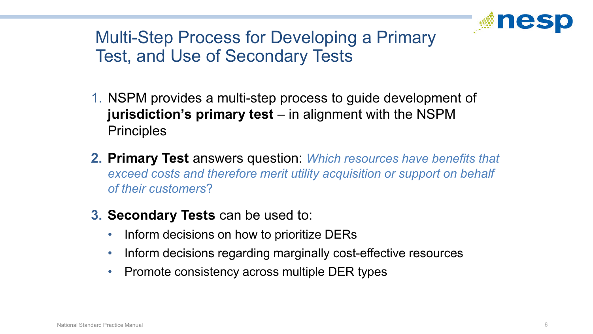

## Multi-Step Process for Developing a Primary Test, and Use of Secondary Tests

- 1. NSPM provides a multi-step process to guide development of **jurisdiction's primary test** – in alignment with the NSPM **Principles**
- **2. Primary Test** answers question: *Which resources have benefits that exceed costs and therefore merit utility acquisition or support on behalf of their customers*?
- **3. Secondary Tests** can be used to:
	- Inform decisions on how to prioritize DERs
	- Inform decisions regarding marginally cost-effective resources
	- Promote consistency across multiple DER types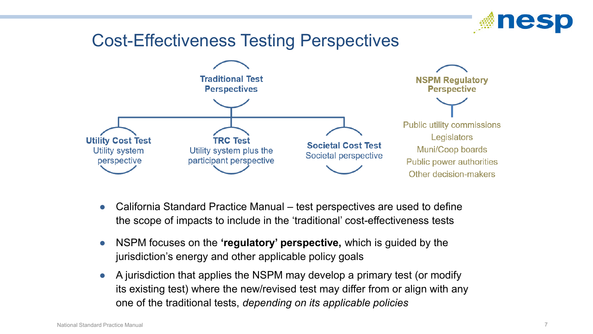

#### Cost-Effectiveness Testing Perspectives



- California Standard Practice Manual test perspectives are used to define the scope of impacts to include in the 'traditional' cost-effectiveness tests
- NSPM focuses on the 'regulatory' perspective, which is guided by the jurisdiction's energy and other applicable policy goals
- A jurisdiction that applies the NSPM may develop a primary test (or modify its existing test) where the new/revised test may differ from or align with any one of the traditional tests, *depending on its applicable policies*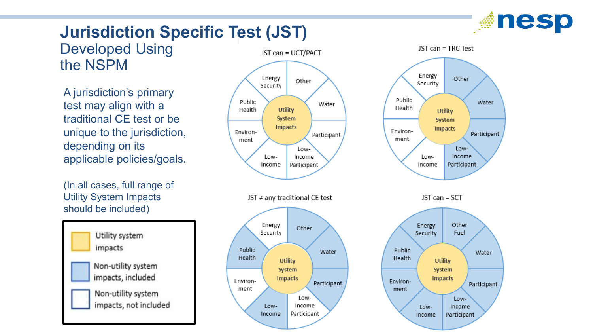

# **Jurisdiction Specific Test (JST)**

Developed Using the NSPM

A jurisdiction's primary test may align with a traditional CE test or be unique to the jurisdiction, depending on its applicable policies/goals.

(In all cases, full range of Utility System Impacts should be included)